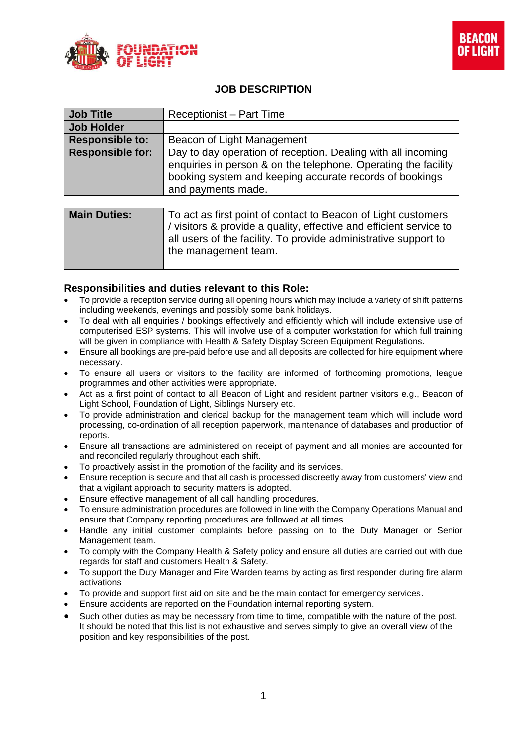



## **JOB DESCRIPTION**

| <b>Job Title</b>        | Receptionist - Part Time                                                                                                                                                                                                       |
|-------------------------|--------------------------------------------------------------------------------------------------------------------------------------------------------------------------------------------------------------------------------|
| <b>Job Holder</b>       |                                                                                                                                                                                                                                |
| <b>Responsible to:</b>  | Beacon of Light Management                                                                                                                                                                                                     |
| <b>Responsible for:</b> | Day to day operation of reception. Dealing with all incoming<br>enquiries in person & on the telephone. Operating the facility<br>booking system and keeping accurate records of bookings<br>and payments made.                |
|                         |                                                                                                                                                                                                                                |
| <b>Main Duties:</b>     | To act as first point of contact to Beacon of Light customers<br>/ visitors & provide a quality, effective and efficient service to<br>all users of the facility. To provide administrative support to<br>the management team. |

## **Responsibilities and duties relevant to this Role:**

- To provide a reception service during all opening hours which may include a variety of shift patterns including weekends, evenings and possibly some bank holidays.
- To deal with all enquiries / bookings effectively and efficiently which will include extensive use of computerised ESP systems. This will involve use of a computer workstation for which full training will be given in compliance with Health & Safety Display Screen Equipment Regulations.
- Ensure all bookings are pre-paid before use and all deposits are collected for hire equipment where necessary.
- To ensure all users or visitors to the facility are informed of forthcoming promotions, league programmes and other activities were appropriate.
- Act as a first point of contact to all Beacon of Light and resident partner visitors e.g., Beacon of Light School, Foundation of Light, Siblings Nursery etc.
- To provide administration and clerical backup for the management team which will include word processing, co-ordination of all reception paperwork, maintenance of databases and production of reports.
- Ensure all transactions are administered on receipt of payment and all monies are accounted for and reconciled regularly throughout each shift.
- To proactively assist in the promotion of the facility and its services.
- Ensure reception is secure and that all cash is processed discreetly away from customers' view and that a vigilant approach to security matters is adopted.
- Ensure effective management of all call handling procedures.
- To ensure administration procedures are followed in line with the Company Operations Manual and ensure that Company reporting procedures are followed at all times.
- Handle any initial customer complaints before passing on to the Duty Manager or Senior Management team.
- To comply with the Company Health & Safety policy and ensure all duties are carried out with due regards for staff and customers Health & Safety.
- To support the Duty Manager and Fire Warden teams by acting as first responder during fire alarm activations
- To provide and support first aid on site and be the main contact for emergency services.
- Ensure accidents are reported on the Foundation internal reporting system.
- Such other duties as may be necessary from time to time, compatible with the nature of the post. It should be noted that this list is not exhaustive and serves simply to give an overall view of the position and key responsibilities of the post.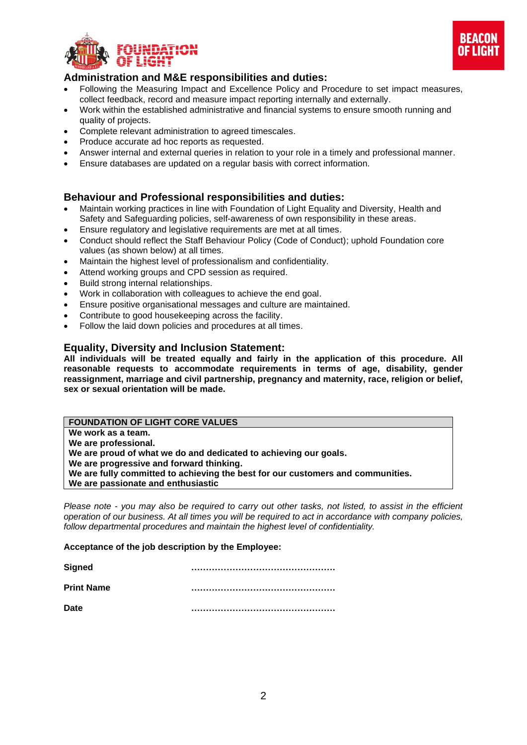



## **Administration and M&E responsibilities and duties:**

- Following the Measuring Impact and Excellence Policy and Procedure to set impact measures, collect feedback, record and measure impact reporting internally and externally.
- Work within the established administrative and financial systems to ensure smooth running and quality of projects.
- Complete relevant administration to agreed timescales.
- Produce accurate ad hoc reports as requested.
- Answer internal and external queries in relation to your role in a timely and professional manner.
- Ensure databases are updated on a regular basis with correct information.

#### **Behaviour and Professional responsibilities and duties:**

- Maintain working practices in line with Foundation of Light Equality and Diversity, Health and Safety and Safeguarding policies, self-awareness of own responsibility in these areas.
- Ensure regulatory and legislative requirements are met at all times.
- Conduct should reflect the Staff Behaviour Policy (Code of Conduct); uphold Foundation core values (as shown below) at all times.
- Maintain the highest level of professionalism and confidentiality.
- Attend working groups and CPD session as required.
- Build strong internal relationships.
- Work in collaboration with colleagues to achieve the end goal.
- Ensure positive organisational messages and culture are maintained.
- Contribute to good housekeeping across the facility.
- Follow the laid down policies and procedures at all times.

#### **Equality, Diversity and Inclusion Statement:**

**All individuals will be treated equally and fairly in the application of this procedure. All reasonable requests to accommodate requirements in terms of age, disability, gender reassignment, marriage and civil partnership, pregnancy and maternity, race, religion or belief, sex or sexual orientation will be made.**

## **FOUNDATION OF LIGHT CORE VALUES**

**We work as a team.**

**We are professional.**

**We are proud of what we do and dedicated to achieving our goals.**

**We are progressive and forward thinking.**

**We are fully committed to achieving the best for our customers and communities.**

**We are passionate and enthusiastic**

*Please note - you may also be required to carry out other tasks, not listed, to assist in the efficient operation of our business. At all times you will be required to act in accordance with company policies, follow departmental procedures and maintain the highest level of confidentiality.*

#### **Acceptance of the job description by the Employee:**

| <b>Signed</b>     |  |
|-------------------|--|
| <b>Print Name</b> |  |
| Date              |  |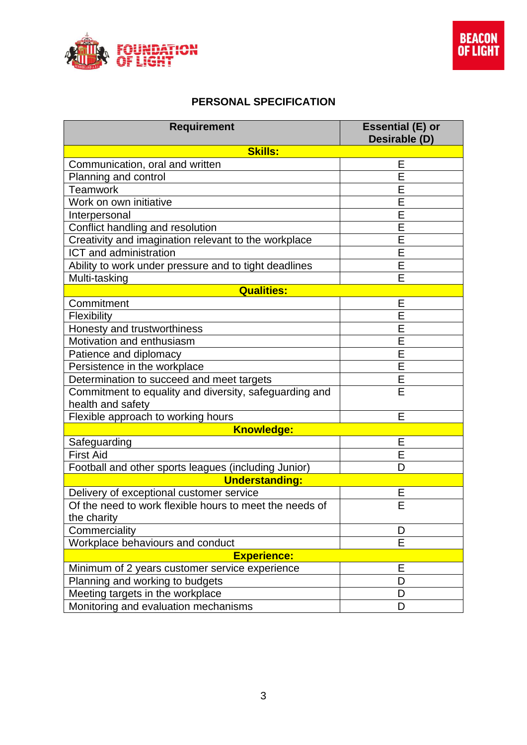

# **PERSONAL SPECIFICATION**

| <b>Requirement</b>                                                          | <b>Essential (E) or</b><br>Desirable (D) |  |  |
|-----------------------------------------------------------------------------|------------------------------------------|--|--|
| <b>Skills:</b>                                                              |                                          |  |  |
| Communication, oral and written                                             | Ε                                        |  |  |
| Planning and control                                                        | E                                        |  |  |
| <b>Teamwork</b>                                                             | E                                        |  |  |
| Work on own initiative                                                      | $\overline{E}$                           |  |  |
| Interpersonal                                                               | E                                        |  |  |
| Conflict handling and resolution                                            | $\overline{E}$                           |  |  |
| Creativity and imagination relevant to the workplace                        | E                                        |  |  |
| ICT and administration                                                      | E                                        |  |  |
| Ability to work under pressure and to tight deadlines                       | E                                        |  |  |
| Multi-tasking                                                               | E                                        |  |  |
| <b>Qualities:</b>                                                           |                                          |  |  |
| Commitment                                                                  | Ε                                        |  |  |
| Flexibility                                                                 | E                                        |  |  |
| Honesty and trustworthiness                                                 | E                                        |  |  |
| Motivation and enthusiasm                                                   | Е                                        |  |  |
| Patience and diplomacy                                                      | $\overline{\mathsf{E}}$                  |  |  |
| Persistence in the workplace                                                | $\overline{E}$                           |  |  |
| Determination to succeed and meet targets                                   | E                                        |  |  |
| Commitment to equality and diversity, safeguarding and<br>health and safety | E                                        |  |  |
| Flexible approach to working hours                                          | E                                        |  |  |
| <b>Knowledge:</b>                                                           |                                          |  |  |
| Safeguarding                                                                | E                                        |  |  |
| <b>First Aid</b>                                                            | $\overline{\mathsf{E}}$                  |  |  |
| Football and other sports leagues (including Junior)                        | D                                        |  |  |
| <b>Understanding:</b>                                                       |                                          |  |  |
| Delivery of exceptional customer service                                    | Е                                        |  |  |
| Of the need to work flexible hours to meet the needs of                     | $\overline{\mathsf{E}}$                  |  |  |
| the charity                                                                 |                                          |  |  |
| Commerciality                                                               | D                                        |  |  |
| Workplace behaviours and conduct                                            | E                                        |  |  |
| <b>Experience:</b>                                                          |                                          |  |  |
| Minimum of 2 years customer service experience                              | Е                                        |  |  |
| Planning and working to budgets                                             | D                                        |  |  |
| Meeting targets in the workplace                                            | D                                        |  |  |
| Monitoring and evaluation mechanisms                                        | D                                        |  |  |